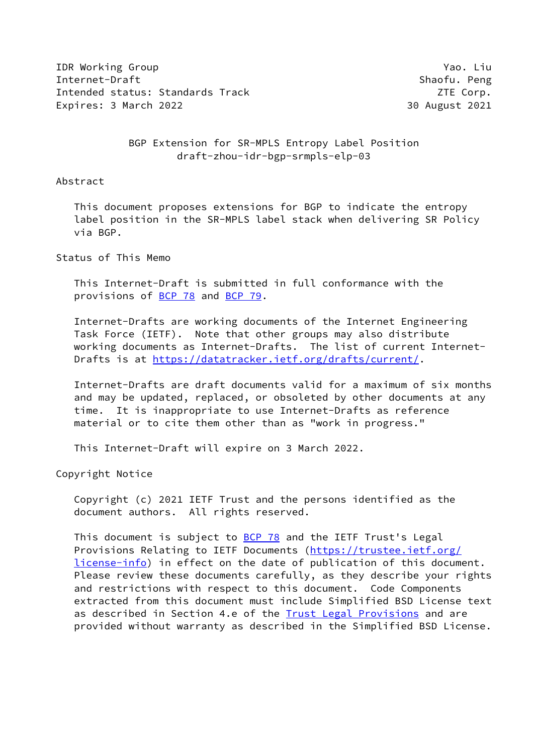**IDR Working Group Yao. Liu Annual Action** Yao. Liu Annual Mac. Liu Annual Mac. Liu Internet-Draft Shaofu. Peng Intended status: Standards Track ZTE Corp. Expires: 3 March 2022 30 August 2021

 BGP Extension for SR-MPLS Entropy Label Position draft-zhou-idr-bgp-srmpls-elp-03

Abstract

 This document proposes extensions for BGP to indicate the entropy label position in the SR-MPLS label stack when delivering SR Policy via BGP.

Status of This Memo

 This Internet-Draft is submitted in full conformance with the provisions of [BCP 78](https://datatracker.ietf.org/doc/pdf/bcp78) and [BCP 79](https://datatracker.ietf.org/doc/pdf/bcp79).

 Internet-Drafts are working documents of the Internet Engineering Task Force (IETF). Note that other groups may also distribute working documents as Internet-Drafts. The list of current Internet- Drafts is at<https://datatracker.ietf.org/drafts/current/>.

 Internet-Drafts are draft documents valid for a maximum of six months and may be updated, replaced, or obsoleted by other documents at any time. It is inappropriate to use Internet-Drafts as reference material or to cite them other than as "work in progress."

This Internet-Draft will expire on 3 March 2022.

Copyright Notice

 Copyright (c) 2021 IETF Trust and the persons identified as the document authors. All rights reserved.

 This document is subject to [BCP 78](https://datatracker.ietf.org/doc/pdf/bcp78) and the IETF Trust's Legal Provisions Relating to IETF Documents ([https://trustee.ietf.org/](https://trustee.ietf.org/license-info) [license-info](https://trustee.ietf.org/license-info)) in effect on the date of publication of this document. Please review these documents carefully, as they describe your rights and restrictions with respect to this document. Code Components extracted from this document must include Simplified BSD License text as described in Section 4.e of the **[Trust Legal Provisions](https://trustee.ietf.org/license-info)** and are provided without warranty as described in the Simplified BSD License.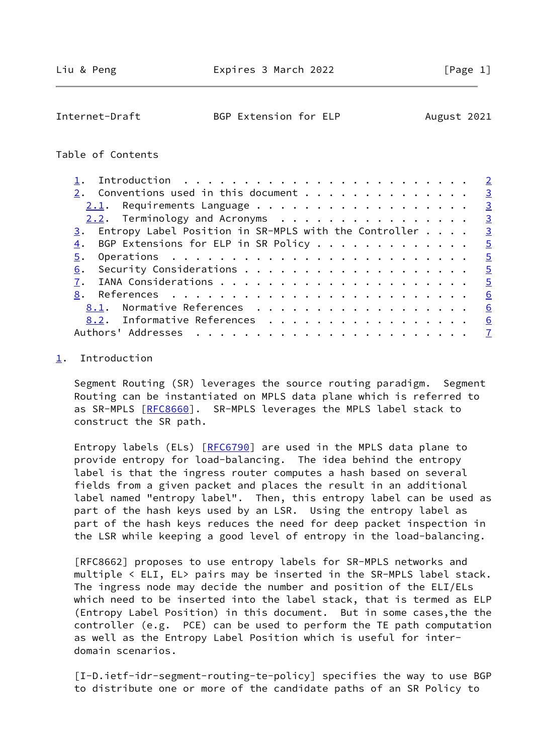<span id="page-1-1"></span>

| Internet-Draft | BGP Extension for ELP | August 2021 |
|----------------|-----------------------|-------------|
|----------------|-----------------------|-------------|

## Table of Contents

|                                                                            | $\overline{2}$          |
|----------------------------------------------------------------------------|-------------------------|
| 2. Conventions used in this document $\dots$                               | $\overline{\mathbf{3}}$ |
|                                                                            | $\overline{\mathbf{3}}$ |
|                                                                            | $\overline{3}$          |
| $\underline{3}$ . Entropy Label Position in SR-MPLS with the Controller    | $\overline{3}$          |
| BGP Extensions for ELP in SR Policy<br>4.                                  | $\overline{5}$          |
| Operations $\ldots \ldots \ldots \ldots \ldots \ldots \ldots \ldots$<br>5. | $-5$                    |
| 6.                                                                         | $-5$                    |
|                                                                            | $\overline{5}$          |
|                                                                            | 6                       |
| 8.1. Normative References                                                  | 6                       |
| 8.2. Informative References                                                | 6                       |
|                                                                            |                         |

## <span id="page-1-0"></span>[1](#page-1-0). Introduction

 Segment Routing (SR) leverages the source routing paradigm. Segment Routing can be instantiated on MPLS data plane which is referred to as SR-MPLS [[RFC8660\]](https://datatracker.ietf.org/doc/pdf/rfc8660). SR-MPLS leverages the MPLS label stack to construct the SR path.

Entropy labels (ELs) [\[RFC6790](https://datatracker.ietf.org/doc/pdf/rfc6790)] are used in the MPLS data plane to provide entropy for load-balancing. The idea behind the entropy label is that the ingress router computes a hash based on several fields from a given packet and places the result in an additional label named "entropy label". Then, this entropy label can be used as part of the hash keys used by an LSR. Using the entropy label as part of the hash keys reduces the need for deep packet inspection in the LSR while keeping a good level of entropy in the load-balancing.

 [RFC8662] proposes to use entropy labels for SR-MPLS networks and multiple < ELI, EL> pairs may be inserted in the SR-MPLS label stack. The ingress node may decide the number and position of the ELI/ELs which need to be inserted into the label stack, that is termed as ELP (Entropy Label Position) in this document. But in some cases,the the controller (e.g. PCE) can be used to perform the TE path computation as well as the Entropy Label Position which is useful for inter domain scenarios.

<span id="page-1-2"></span> [I-D.ietf-idr-segment-routing-te-policy] specifies the way to use BGP to distribute one or more of the candidate paths of an SR Policy to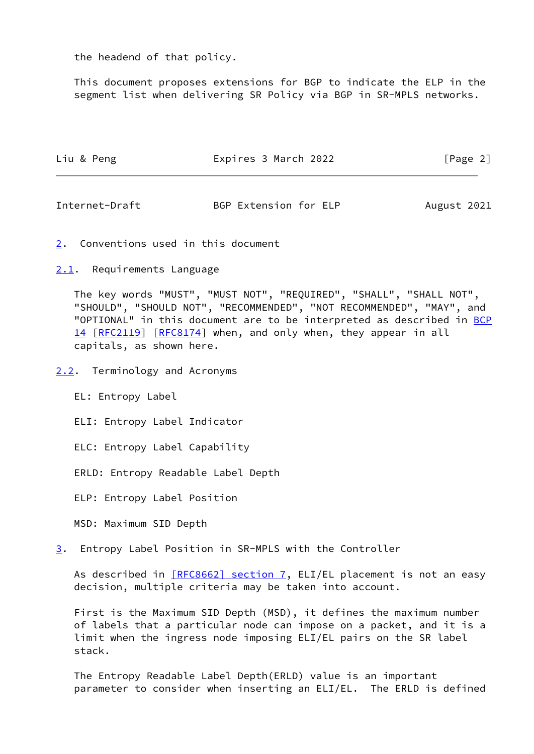the headend of that policy.

 This document proposes extensions for BGP to indicate the ELP in the segment list when delivering SR Policy via BGP in SR-MPLS networks.

| Liu & Peng | Expires 3 March 2022 | [Page 2] |
|------------|----------------------|----------|
|            |                      |          |

<span id="page-2-1"></span>Internet-Draft BGP Extension for ELP August 2021

- <span id="page-2-0"></span>[2](#page-2-0). Conventions used in this document
- <span id="page-2-2"></span>[2.1](#page-2-2). Requirements Language

 The key words "MUST", "MUST NOT", "REQUIRED", "SHALL", "SHALL NOT", "SHOULD", "SHOULD NOT", "RECOMMENDED", "NOT RECOMMENDED", "MAY", and "OPTIONAL" in this document are to be interpreted as described in [BCP](https://datatracker.ietf.org/doc/pdf/bcp14) [14](https://datatracker.ietf.org/doc/pdf/bcp14) [[RFC2119\]](https://datatracker.ietf.org/doc/pdf/rfc2119) [\[RFC8174](https://datatracker.ietf.org/doc/pdf/rfc8174)] when, and only when, they appear in all capitals, as shown here.

<span id="page-2-3"></span>[2.2](#page-2-3). Terminology and Acronyms

EL: Entropy Label

ELI: Entropy Label Indicator

ELC: Entropy Label Capability

ERLD: Entropy Readable Label Depth

ELP: Entropy Label Position

MSD: Maximum SID Depth

<span id="page-2-4"></span>[3](#page-2-4). Entropy Label Position in SR-MPLS with the Controller

As described in [\[RFC8662\] section](https://datatracker.ietf.org/doc/pdf/rfc8662#section-7) 7, ELI/EL placement is not an easy decision, multiple criteria may be taken into account.

 First is the Maximum SID Depth (MSD), it defines the maximum number of labels that a particular node can impose on a packet, and it is a limit when the ingress node imposing ELI/EL pairs on the SR label stack.

 The Entropy Readable Label Depth(ERLD) value is an important parameter to consider when inserting an ELI/EL. The ERLD is defined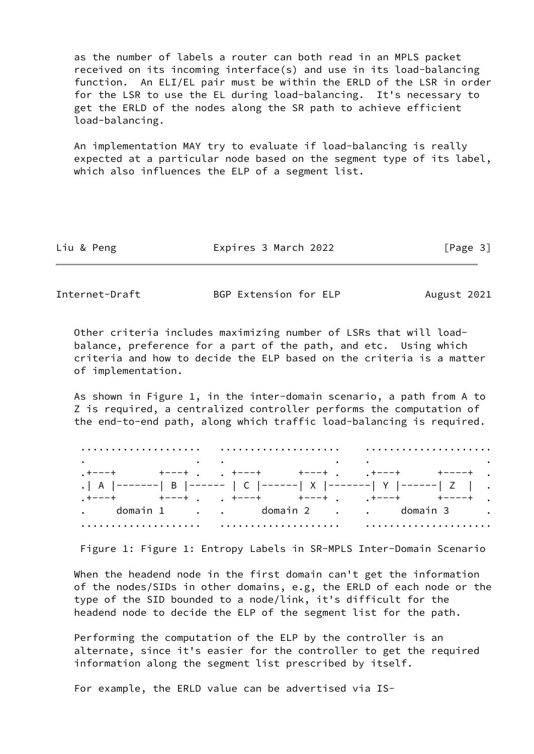as the number of labels a router can both read in an MPLS packet received on its incoming interface(s) and use in its load-balancing function. An ELI/EL pair must be within the ERLD of the LSR in order for the LSR to use the EL during load-balancing. It's necessary to get the ERLD of the nodes along the SR path to achieve efficient load-balancing.

 An implementation MAY try to evaluate if load-balancing is really expected at a particular node based on the segment type of its label, which also influences the ELP of a segment list.

| Liu & Peng | Expires 3 March 2022 | [Page 3] |
|------------|----------------------|----------|
|            |                      |          |

Internet-Draft BGP Extension for ELP August 2021

 Other criteria includes maximizing number of LSRs that will load balance, preference for a part of the path, and etc. Using which criteria and how to decide the ELP based on the criteria is a matter of implementation.

 As shown in Figure 1, in the inter-domain scenario, a path from A to Z is required, a centralized controller performs the computation of the end-to-end path, along which traffic load-balancing is required.

| $\bullet$ . The contract of the contract of the contract of the contract of the contract of the contract of the contract of the contract of the contract of the contract of the contract of the contract of the contract of the co |  |  |  |  |  |
|------------------------------------------------------------------------------------------------------------------------------------------------------------------------------------------------------------------------------------|--|--|--|--|--|
|                                                                                                                                                                                                                                    |  |  |  |  |  |
| .   A  -------  B  ------   C  ------  X  -------  Y  ------  Z   .                                                                                                                                                                |  |  |  |  |  |
|                                                                                                                                                                                                                                    |  |  |  |  |  |
| . domain 1 domain 2 domain 3 .                                                                                                                                                                                                     |  |  |  |  |  |

Figure 1: Figure 1: Entropy Labels in SR-MPLS Inter-Domain Scenario

When the headend node in the first domain can't get the information of the nodes/SIDs in other domains, e.g, the ERLD of each node or the type of the SID bounded to a node/link, it's difficult for the headend node to decide the ELP of the segment list for the path.

 Performing the computation of the ELP by the controller is an alternate, since it's easier for the controller to get the required information along the segment list prescribed by itself.

For example, the ERLD value can be advertised via IS-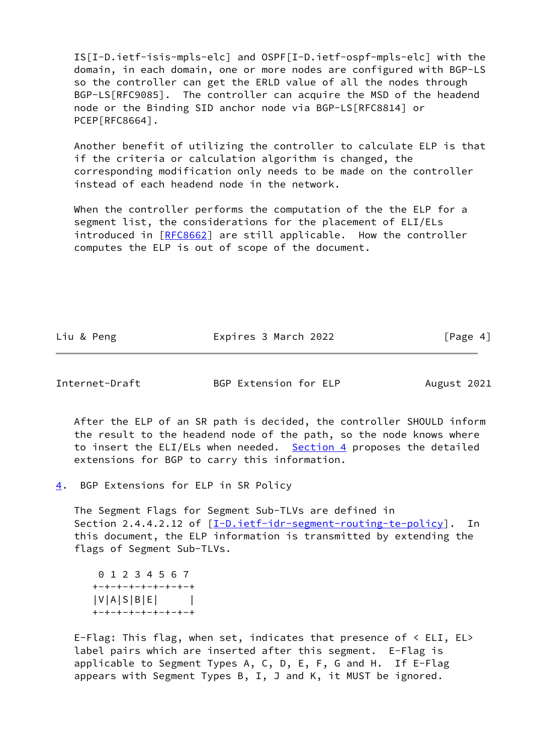IS[I-D.ietf-isis-mpls-elc] and OSPF[I-D.ietf-ospf-mpls-elc] with the domain, in each domain, one or more nodes are configured with BGP-LS so the controller can get the ERLD value of all the nodes through BGP-LS[RFC9085]. The controller can acquire the MSD of the headend node or the Binding SID anchor node via BGP-LS[RFC8814] or PCEP[RFC8664].

 Another benefit of utilizing the controller to calculate ELP is that if the criteria or calculation algorithm is changed, the corresponding modification only needs to be made on the controller instead of each headend node in the network.

 When the controller performs the computation of the the ELP for a segment list, the considerations for the placement of ELI/ELs introduced in [[RFC8662](https://datatracker.ietf.org/doc/pdf/rfc8662)] are still applicable. How the controller computes the ELP is out of scope of the document.

Liu & Peng The Expires 3 March 2022 [Page 4]

<span id="page-4-1"></span>Internet-Draft BGP Extension for ELP August 2021

 After the ELP of an SR path is decided, the controller SHOULD inform the result to the headend node of the path, so the node knows where to insert the ELI/ELs when needed. [Section 4](#page-4-0) proposes the detailed extensions for BGP to carry this information.

<span id="page-4-0"></span>[4](#page-4-0). BGP Extensions for ELP in SR Policy

 The Segment Flags for Segment Sub-TLVs are defined in Section 2.4.4.2.12 of [[I-D.ietf-idr-segment-routing-te-policy](#page-1-2)]. In this document, the ELP information is transmitted by extending the flags of Segment Sub-TLVs.

 0 1 2 3 4 5 6 7 +-+-+-+-+-+-+-+-+ |V|A|S|B|E| | +-+-+-+-+-+-+-+-+

 E-Flag: This flag, when set, indicates that presence of < ELI, EL> label pairs which are inserted after this segment. E-Flag is applicable to Segment Types A, C, D, E, F, G and H. If E-Flag appears with Segment Types B, I, J and K, it MUST be ignored.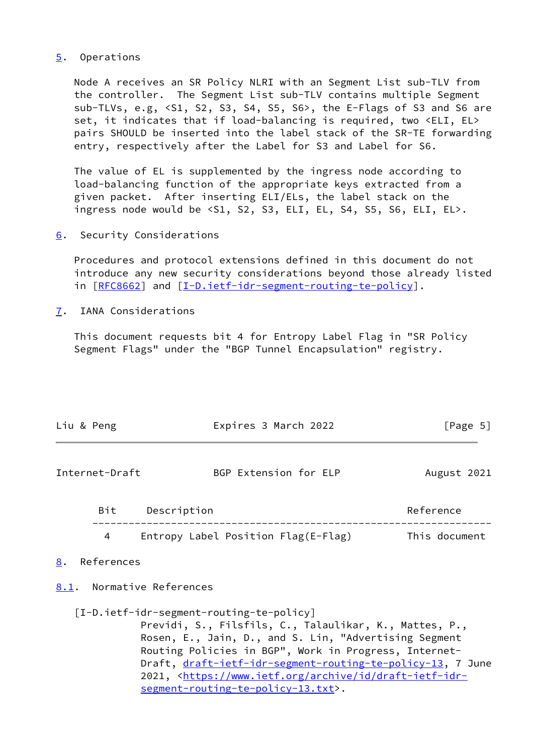## <span id="page-5-0"></span>[5](#page-5-0). Operations

 Node A receives an SR Policy NLRI with an Segment List sub-TLV from the controller. The Segment List sub-TLV contains multiple Segment sub-TLVs, e.g, <S1, S2, S3, S4, S5, S6>, the E-Flags of S3 and S6 are set, it indicates that if load-balancing is required, two <ELI, EL> pairs SHOULD be inserted into the label stack of the SR-TE forwarding entry, respectively after the Label for S3 and Label for S6.

 The value of EL is supplemented by the ingress node according to load-balancing function of the appropriate keys extracted from a given packet. After inserting ELI/ELs, the label stack on the ingress node would be <S1, S2, S3, ELI, EL, S4, S5, S6, ELI, EL>.

<span id="page-5-1"></span>[6](#page-5-1). Security Considerations

 Procedures and protocol extensions defined in this document do not introduce any new security considerations beyond those already listed in [[RFC8662\]](https://datatracker.ietf.org/doc/pdf/rfc8662) and [\[I-D.ietf-idr-segment-routing-te-policy](#page-1-2)].

<span id="page-5-2"></span>[7](#page-5-2). IANA Considerations

 This document requests bit 4 for Entropy Label Flag in "SR Policy Segment Flags" under the "BGP Tunnel Encapsulation" registry.

<span id="page-5-5"></span><span id="page-5-4"></span><span id="page-5-3"></span>

| Liu & Peng       | Expires 3 March 2022                                                                                                                                                                                                                                                                                                                                                                                             | [Page 5]      |
|------------------|------------------------------------------------------------------------------------------------------------------------------------------------------------------------------------------------------------------------------------------------------------------------------------------------------------------------------------------------------------------------------------------------------------------|---------------|
| Internet-Draft   | BGP Extension for ELP                                                                                                                                                                                                                                                                                                                                                                                            | August 2021   |
|                  | Bit Description                                                                                                                                                                                                                                                                                                                                                                                                  | Reference     |
| 4                | Entropy Label Position Flag(E-Flag)                                                                                                                                                                                                                                                                                                                                                                              | This document |
| References<br>8. |                                                                                                                                                                                                                                                                                                                                                                                                                  |               |
|                  | 8.1. Normative References                                                                                                                                                                                                                                                                                                                                                                                        |               |
|                  | [I-D.ietf-idr-segment-routing-te-policy]<br>Previdi, S., Filsfils, C., Talaulikar, K., Mattes, P.,<br>Rosen, E., Jain, D., and S. Lin, "Advertising Segment<br>Routing Policies in BGP", Work in Progress, Internet-<br>Draft, <u>draft-ietf-idr-segment-routing-te-policy-13,</u> 7 June<br>2021, <https: archive="" draft-ietf-idr-<br="" id="" www.ietf.org="">segment-routing-te-policy-13.txt&gt;.</https:> |               |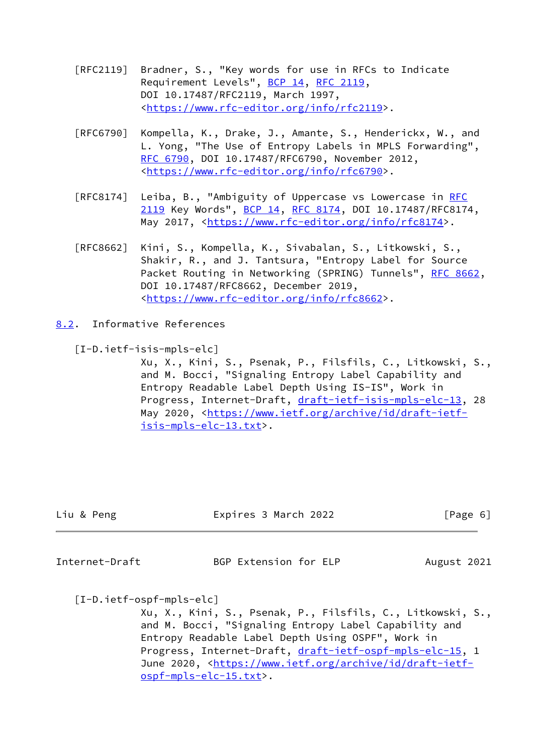- [RFC2119] Bradner, S., "Key words for use in RFCs to Indicate Requirement Levels", [BCP 14](https://datatracker.ietf.org/doc/pdf/bcp14), [RFC 2119](https://datatracker.ietf.org/doc/pdf/rfc2119), DOI 10.17487/RFC2119, March 1997, <[https://www.rfc-editor.org/info/rfc2119>](https://www.rfc-editor.org/info/rfc2119).
- [RFC6790] Kompella, K., Drake, J., Amante, S., Henderickx, W., and L. Yong, "The Use of Entropy Labels in MPLS Forwarding", [RFC 6790,](https://datatracker.ietf.org/doc/pdf/rfc6790) DOI 10.17487/RFC6790, November 2012, <[https://www.rfc-editor.org/info/rfc6790>](https://www.rfc-editor.org/info/rfc6790).
- [RFC8174] Leiba, B., "Ambiguity of Uppercase vs Lowercase in [RFC](https://datatracker.ietf.org/doc/pdf/rfc2119) [2119](https://datatracker.ietf.org/doc/pdf/rfc2119) Key Words", [BCP 14](https://datatracker.ietf.org/doc/pdf/bcp14), [RFC 8174,](https://datatracker.ietf.org/doc/pdf/rfc8174) DOI 10.17487/RFC8174, May 2017, [<https://www.rfc-editor.org/info/rfc8174](https://www.rfc-editor.org/info/rfc8174)>.
- [RFC8662] Kini, S., Kompella, K., Sivabalan, S., Litkowski, S., Shakir, R., and J. Tantsura, "Entropy Label for Source Packet Routing in Networking (SPRING) Tunnels", [RFC 8662,](https://datatracker.ietf.org/doc/pdf/rfc8662) DOI 10.17487/RFC8662, December 2019, <[https://www.rfc-editor.org/info/rfc8662>](https://www.rfc-editor.org/info/rfc8662).
- <span id="page-6-0"></span>[8.2](#page-6-0). Informative References
	- [I-D.ietf-isis-mpls-elc]

 Xu, X., Kini, S., Psenak, P., Filsfils, C., Litkowski, S., and M. Bocci, "Signaling Entropy Label Capability and Entropy Readable Label Depth Using IS-IS", Work in Progress, Internet-Draft, [draft-ietf-isis-mpls-elc-13](https://datatracker.ietf.org/doc/pdf/draft-ietf-isis-mpls-elc-13), 28 May 2020, [<https://www.ietf.org/archive/id/draft-ietf](https://www.ietf.org/archive/id/draft-ietf-isis-mpls-elc-13.txt) [isis-mpls-elc-13.txt>](https://www.ietf.org/archive/id/draft-ietf-isis-mpls-elc-13.txt).

| Liu & Peng | Expires 3 March 2022 | [Page 6] |
|------------|----------------------|----------|
|            |                      |          |

<span id="page-6-1"></span>Internet-Draft BGP Extension for ELP August 2021

[I-D.ietf-ospf-mpls-elc]

 Xu, X., Kini, S., Psenak, P., Filsfils, C., Litkowski, S., and M. Bocci, "Signaling Entropy Label Capability and Entropy Readable Label Depth Using OSPF", Work in Progress, Internet-Draft, [draft-ietf-ospf-mpls-elc-15](https://datatracker.ietf.org/doc/pdf/draft-ietf-ospf-mpls-elc-15), 1 June 2020, <[https://www.ietf.org/archive/id/draft-ietf](https://www.ietf.org/archive/id/draft-ietf-ospf-mpls-elc-15.txt) [ospf-mpls-elc-15.txt>](https://www.ietf.org/archive/id/draft-ietf-ospf-mpls-elc-15.txt).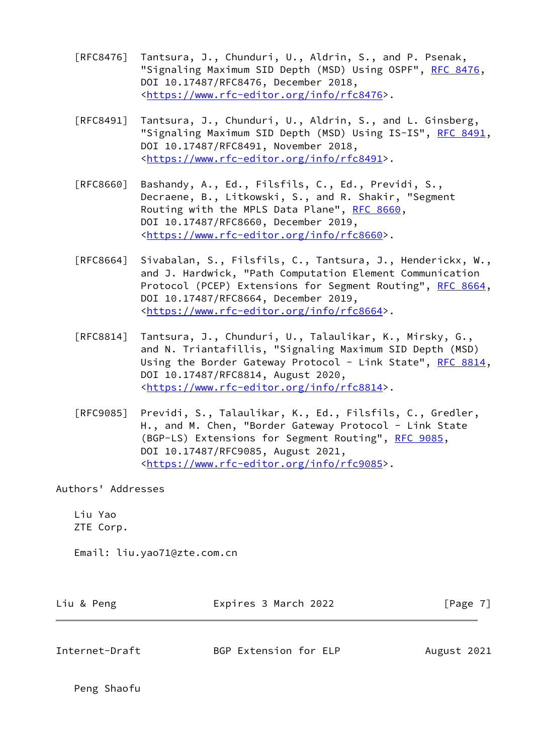- [RFC8476] Tantsura, J., Chunduri, U., Aldrin, S., and P. Psenak, "Signaling Maximum SID Depth (MSD) Using OSPF", [RFC 8476,](https://datatracker.ietf.org/doc/pdf/rfc8476) DOI 10.17487/RFC8476, December 2018, <[https://www.rfc-editor.org/info/rfc8476>](https://www.rfc-editor.org/info/rfc8476).
- [RFC8491] Tantsura, J., Chunduri, U., Aldrin, S., and L. Ginsberg, "Signaling Maximum SID Depth (MSD) Using IS-IS", [RFC 8491,](https://datatracker.ietf.org/doc/pdf/rfc8491) DOI 10.17487/RFC8491, November 2018, <[https://www.rfc-editor.org/info/rfc8491>](https://www.rfc-editor.org/info/rfc8491).
- [RFC8660] Bashandy, A., Ed., Filsfils, C., Ed., Previdi, S., Decraene, B., Litkowski, S., and R. Shakir, "Segment Routing with the MPLS Data Plane", [RFC 8660](https://datatracker.ietf.org/doc/pdf/rfc8660), DOI 10.17487/RFC8660, December 2019, <[https://www.rfc-editor.org/info/rfc8660>](https://www.rfc-editor.org/info/rfc8660).
- [RFC8664] Sivabalan, S., Filsfils, C., Tantsura, J., Henderickx, W., and J. Hardwick, "Path Computation Element Communication Protocol (PCEP) Extensions for Segment Routing", [RFC 8664,](https://datatracker.ietf.org/doc/pdf/rfc8664) DOI 10.17487/RFC8664, December 2019, <[https://www.rfc-editor.org/info/rfc8664>](https://www.rfc-editor.org/info/rfc8664).
- [RFC8814] Tantsura, J., Chunduri, U., Talaulikar, K., Mirsky, G., and N. Triantafillis, "Signaling Maximum SID Depth (MSD) Using the Border Gateway Protocol - Link State", [RFC 8814,](https://datatracker.ietf.org/doc/pdf/rfc8814) DOI 10.17487/RFC8814, August 2020, <[https://www.rfc-editor.org/info/rfc8814>](https://www.rfc-editor.org/info/rfc8814).
- [RFC9085] Previdi, S., Talaulikar, K., Ed., Filsfils, C., Gredler, H., and M. Chen, "Border Gateway Protocol - Link State (BGP-LS) Extensions for Segment Routing", [RFC 9085](https://datatracker.ietf.org/doc/pdf/rfc9085), DOI 10.17487/RFC9085, August 2021, <[https://www.rfc-editor.org/info/rfc9085>](https://www.rfc-editor.org/info/rfc9085).

Authors' Addresses

 Liu Yao ZTE Corp.

Email: liu.yao71@zte.com.cn

| Liu & Peng     | Expires 3 March 2022  | [Page 7]    |
|----------------|-----------------------|-------------|
| Internet-Draft | BGP Extension for ELP | August 2021 |